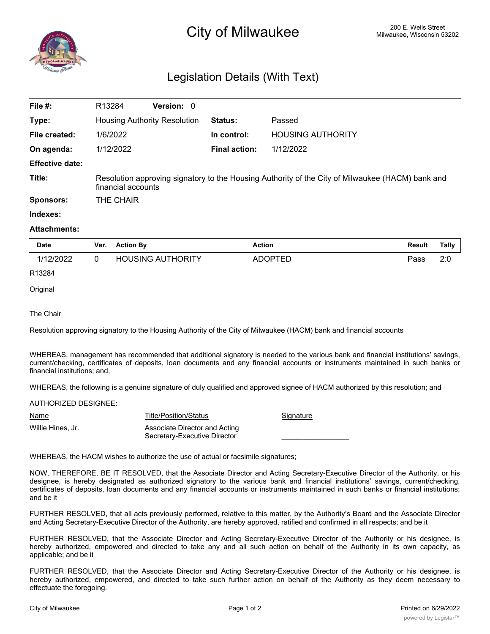

## Legislation Details (With Text)

| File $#$ :             | R <sub>13284</sub>                                                                                                     | <b>Version: 0</b> |                      |                          |  |
|------------------------|------------------------------------------------------------------------------------------------------------------------|-------------------|----------------------|--------------------------|--|
| Type:                  | <b>Housing Authority Resolution</b>                                                                                    |                   | <b>Status:</b>       | Passed                   |  |
| File created:          | 1/6/2022                                                                                                               |                   | In control:          | <b>HOUSING AUTHORITY</b> |  |
| On agenda:             | 1/12/2022                                                                                                              |                   | <b>Final action:</b> | 1/12/2022                |  |
| <b>Effective date:</b> |                                                                                                                        |                   |                      |                          |  |
| Title:                 | Resolution approving signatory to the Housing Authority of the City of Milwaukee (HACM) bank and<br>financial accounts |                   |                      |                          |  |
| <b>Sponsors:</b>       | THE CHAIR                                                                                                              |                   |                      |                          |  |

## **Indexes:**

## **Attachments:**

| <b>Date</b> | Ver. | <b>Action By</b>         | <b>Action</b> | Result | Tally |
|-------------|------|--------------------------|---------------|--------|-------|
| 1/12/2022   |      | <b>HOUSING AUTHORITY</b> | ADOPTED       | Pass   | 2:0   |
| R13284      |      |                          |               |        |       |

**Original** 

The Chair

Resolution approving signatory to the Housing Authority of the City of Milwaukee (HACM) bank and financial accounts

WHEREAS, management has recommended that additional signatory is needed to the various bank and financial institutions' savings, current/checking, certificates of deposits, loan documents and any financial accounts or instruments maintained in such banks or financial institutions; and,

WHEREAS, the following is a genuine signature of duly qualified and approved signee of HACM authorized by this resolution; and

AUTHORIZED DESIGNEE:

| <u>Name</u>       | Title/Position/Status                                         | Signature |
|-------------------|---------------------------------------------------------------|-----------|
| Willie Hines, Jr. | Associate Director and Acting<br>Secretary-Executive Director |           |

WHEREAS, the HACM wishes to authorize the use of actual or facsimile signatures;

NOW, THEREFORE, BE IT RESOLVED, that the Associate Director and Acting Secretary-Executive Director of the Authority, or his designee, is hereby designated as authorized signatory to the various bank and financial institutions' savings, current/checking, certificates of deposits, loan documents and any financial accounts or instruments maintained in such banks or financial institutions; and be it

FURTHER RESOLVED, that all acts previously performed, relative to this matter, by the Authority's Board and the Associate Director and Acting Secretary-Executive Director of the Authority, are hereby approved, ratified and confirmed in all respects; and be it

FURTHER RESOLVED, that the Associate Director and Acting Secretary-Executive Director of the Authority or his designee, is hereby authorized, empowered and directed to take any and all such action on behalf of the Authority in its own capacity, as applicable; and be it

FURTHER RESOLVED, that the Associate Director and Acting Secretary-Executive Director of the Authority or his designee, is hereby authorized, empowered, and directed to take such further action on behalf of the Authority as they deem necessary to effectuate the foregoing.